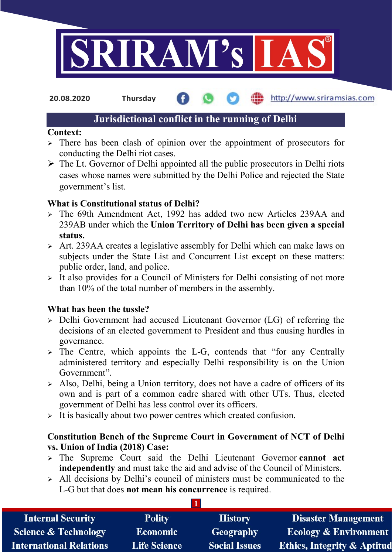

20.08.2020 Thursday

## http://www.sriramsias.com

### Jurisdictional conflict in the running of Delhi

### Context:

- $\geq$  There has been clash of opinion over the appointment of prosecutors for conducting the Delhi riot cases.
- $\triangleright$  The Lt. Governor of Delhi appointed all the public prosecutors in Delhi riots cases whose names were submitted by the Delhi Police and rejected the State government's list.

### What is Constitutional status of Delhi?

- The 69th Amendment Act, 1992 has added two new Articles 239AA and 239AB under which the Union Territory of Delhi has been given a special status.
- Art. 239AA creates a legislative assembly for Delhi which can make laws on subjects under the State List and Concurrent List except on these matters: public order, land, and police.
- $\triangleright$  It also provides for a Council of Ministers for Delhi consisting of not more than 10% of the total number of members in the assembly.

### What has been the tussle?

- $\ge$  Delhi Government had accused Lieutenant Governor (LG) of referring the decisions of an elected government to President and thus causing hurdles in governance.
- $\geq$  The Centre, which appoints the L-G, contends that "for any Centrally" administered territory and especially Delhi responsibility is on the Union Government".
- $\geq$  Also, Delhi, being a Union territory, does not have a cadre of officers of its own and is part of a common cadre shared with other UTs. Thus, elected government of Delhi has less control over its officers.
- $\triangleright$  It is basically about two power centres which created confusion.

### Constitution Bench of the Supreme Court in Government of NCT of Delhi vs. Union of India (2018) Case:

- $\ge$  The Supreme Court said the Delhi Lieutenant Governor cannot act independently and must take the aid and advise of the Council of Ministers.
- $\ge$  All decisions by Delhi's council of ministers must be communicated to the L-G but that does not mean his concurrence is required.

1

| <b>Internal Security</b>        | <b>Polity</b>       | <b>History</b>       | <b>Disaster Management</b>             |
|---------------------------------|---------------------|----------------------|----------------------------------------|
| <b>Science &amp; Technology</b> | <b>Economic</b>     | Geography            | <b>Ecology &amp; Environment</b>       |
| <b>International Relations</b>  | <b>Life Science</b> | <b>Social Issues</b> | <b>Ethics, Integrity &amp; Aptitud</b> |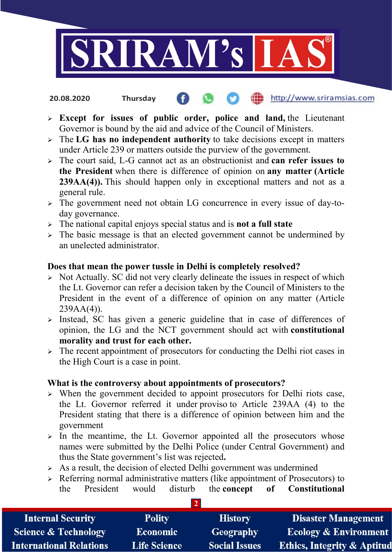

20.08.2020 Thursday

# http://www.sriramsias.com

- $\triangleright$  Except for issues of public order, police and land, the Lieutenant Governor is bound by the aid and advice of the Council of Ministers.
- $\triangleright$  The LG has no independent authority to take decisions except in matters under Article 239 or matters outside the purview of the government.
- $\geq$  The court said, L-G cannot act as an obstructionist and can refer issues to the President when there is difference of opinion on any matter (Article 239AA(4)). This should happen only in exceptional matters and not as a general rule.
- $\geq$  The government need not obtain LG concurrence in every issue of day-today governance.
- $\geq$  The national capital enjoys special status and is **not a full state**
- $\triangleright$  The basic message is that an elected government cannot be undermined by an unelected administrator.

### Does that mean the power tussle in Delhi is completely resolved?

- $\triangleright$  Not Actually. SC did not very clearly delineate the issues in respect of which the Lt. Governor can refer a decision taken by the Council of Ministers to the President in the event of a difference of opinion on any matter (Article  $239AA(4)$ ).
- $\triangleright$  Instead, SC has given a generic guideline that in case of differences of opinion, the LG and the NCT government should act with constitutional morality and trust for each other.
- $\geq$  The recent appointment of prosecutors for conducting the Delhi riot cases in the High Court is a case in point.

### What is the controversy about appointments of prosecutors?

- $\triangleright$  When the government decided to appoint prosecutors for Delhi riots case, the Lt. Governor referred it under proviso to Article 239AA (4) to the President stating that there is a difference of opinion between him and the government
- $\geq$  In the meantime, the Lt. Governor appointed all the prosecutors whose names were submitted by the Delhi Police (under Central Government) and thus the State government's list was rejected.
- $\triangleright$  As a result, the decision of elected Delhi government was undermined
- $\triangleright$  Referring normal administrative matters (like appointment of Prosecutors) to the President would disturb the concept of Constitutional

 $\overline{2}$ 

| <b>Internal Security</b>        | <b>Polity</b>       | <b>History</b>       | <b>Disaster Management</b>       |
|---------------------------------|---------------------|----------------------|----------------------------------|
| <b>Science &amp; Technology</b> | <b>Economic</b>     | Geography            | <b>Ecology &amp; Environment</b> |
| International Relations         | <b>Life Science</b> | <b>Social Issues</b> | Ethics, Integrity & Aptitud      |